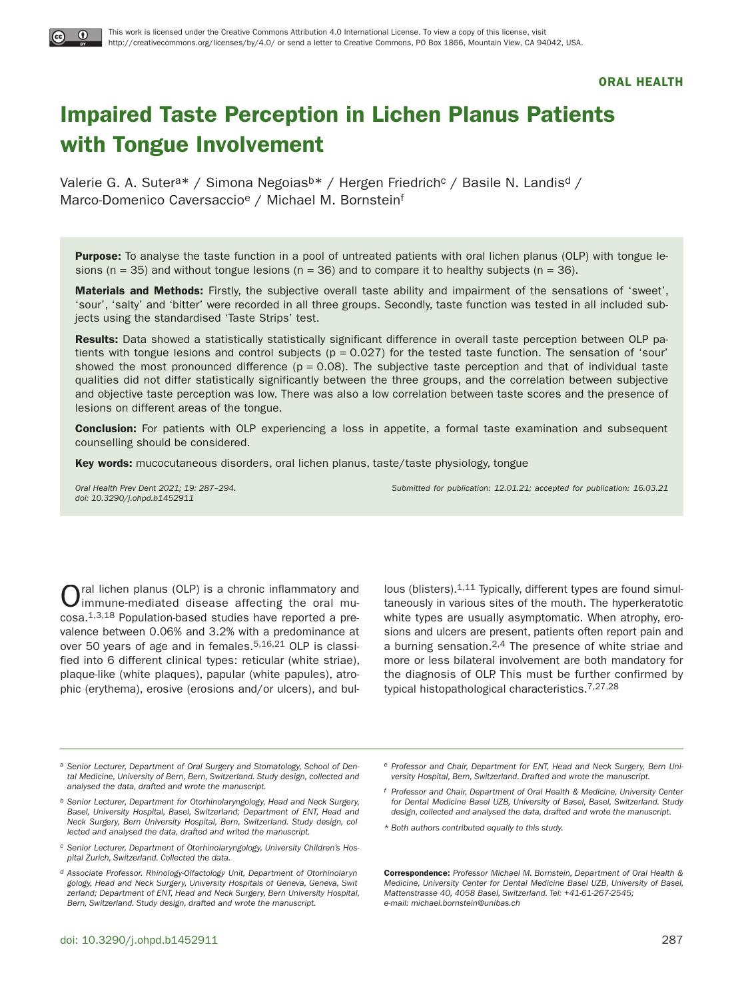# **Impaired Taste Perception in Lichen Planus Patients with Tongue Involvement**

Valerie G. A. Sutera\* / Simona Negoiasb\* / Hergen Friedrich<sup>c</sup> / Basile N. Landis<sup>d</sup> / Marco-Domenico Caversaccio<sup>e</sup> / Michael M. Bornsteinf

**Purpose:** To analyse the taste function in a pool of untreated patients with oral lichen planus (OLP) with tongue lesions (n = 35) and without tongue lesions (n = 36) and to compare it to healthy subjects (n = 36).

**Materials and Methods:** Firstly, the subjective overall taste ability and impairment of the sensations of 'sweet', 'sour', 'salty' and 'bitter' were recorded in all three groups. Secondly, taste function was tested in all included subjects using the standardised 'Taste Strips' test.

**Results:** Data showed a statistically statistically significant difference in overall taste perception between OLP patients with tongue lesions and control subjects  $(p = 0.027)$  for the tested taste function. The sensation of 'sour' showed the most pronounced difference  $(p = 0.08)$ . The subjective taste perception and that of individual taste qualities did not differ statistically significantly between the three groups, and the correlation between subjective and objective taste perception was low. There was also a low correlation between taste scores and the presence of lesions on different areas of the tongue.

**Conclusion:** For patients with OLP experiencing a loss in appetite, a formal taste examination and subsequent counselling should be considered.

**Key words:** mucocutaneous disorders, oral lichen planus, taste/taste physiology, tongue

doi: 10.3290/j.ohpd.b1452911

Oral Health Prev Dent 2021; 19: 287–294. Submitted for publication: 12.01.21; accepted for publication: 16.03.21

Oral lichen planus (OLP) is a chronic inflammatory and immune-mediated disease affecting the oral mucosa.1,3,18 Population-based studies have reported a prevalence between 0.06% and 3.2% with a predominance at over 50 years of age and in females.<sup>5,16,21</sup> OLP is classified into 6 different clinical types: reticular (white striae), plaque-like (white plaques), papular (white papules), atrophic (erythema), erosive (erosions and/or ulcers), and bul-

lous (blisters).<sup>1,11</sup> Typically, different types are found simultaneously in various sites of the mouth. The hyperkeratotic white types are usually asymptomatic. When atrophy, erosions and ulcers are present, patients often report pain and a burning sensation.2,4 The presence of white striae and more or less bilateral involvement are both mandatory for the diagnosis of OLP. This must be further confirmed by typical histopathological characteristics.7,27,28

- a Senior Lecturer, Department of Oral Surgery and Stomatology, School of Dental Medicine, University of Bern, Bern, Switzerland. Study design, collected and analysed the data, drafted and wrote the manuscript.
- b Senior Lecturer, Department for Otorhinolaryngology, Head and Neck Surgery, Basel, University Hospital, Basel, Switzerland; Department of ENT, Head and Neck Surgery, Bern University Hospital, Bern, Switzerland. Study design, collected and analysed the data, drafted and writed the manuscript.
- c Senior Lecturer, Department of Otorhinolaryngology, University Children's Hospital Zurich, Switzerland. Collected the data.
- d Associate Professor. Rhinology-Olfactology Unit, Department of Otorhinolaryngology, Head and Neck Surgery, University Hospitals of Geneva, Geneva, Switzerland; Department of ENT, Head and Neck Surgery, Bern University Hospital, Bern, Switzerland. Study design, drafted and wrote the manuscript.
- e Professor and Chair, Department for ENT, Head and Neck Surgery, Bern University Hospital, Bern, Switzerland. Drafted and wrote the manuscript.
- f Professor and Chair, Department of Oral Health & Medicine, University Center for Dental Medicine Basel UZB, University of Basel, Basel, Switzerland. Study design, collected and analysed the data, drafted and wrote the manuscript.
- \* Both authors contributed equally to this study.

**Correspondence:** Professor Michael M. Bornstein, Department of Oral Health & Medicine, University Center for Dental Medicine Basel UZB, University of Basel, Mattenstrasse 40, 4058 Basel, Switzerland. Tel: +41-61-267-2545; e-mail: michael.bornstein@unibas.ch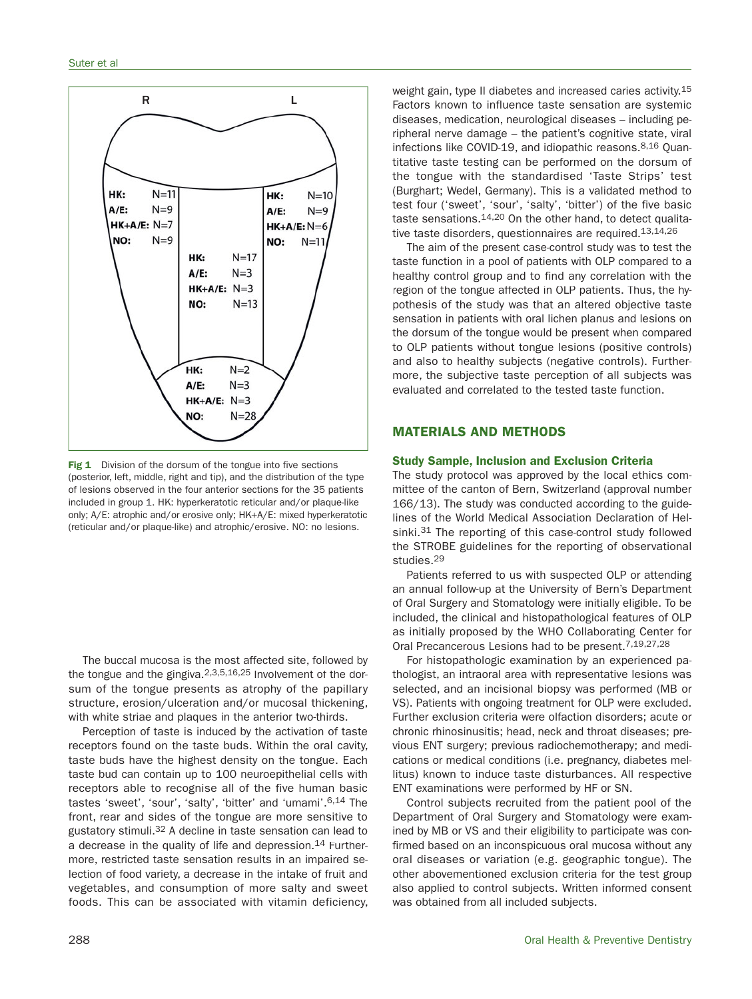

**Fig 1** Division of the dorsum of the tongue into five sections (posterior, left, middle, right and tip), and the distribution of the type of lesions observed in the four anterior sections for the 35 patients included in group 1. HK: hyperkeratotic reticular and/or plaque-like only; A/E: atrophic and/or erosive only; HK+A/E: mixed hyperkeratotic (reticular and/or plaque-like) and atrophic/erosive. NO: no lesions.

The buccal mucosa is the most affected site, followed by the tongue and the gingiva.2,3,5,16,25 Involvement of the dorsum of the tongue presents as atrophy of the papillary structure, erosion/ulceration and/or mucosal thickening, with white striae and plaques in the anterior two-thirds.

Perception of taste is induced by the activation of taste receptors found on the taste buds. Within the oral cavity, taste buds have the highest density on the tongue. Each taste bud can contain up to 100 neuroepithelial cells with receptors able to recognise all of the five human basic tastes 'sweet', 'sour', 'salty', 'bitter' and 'umami'.6,14 The front, rear and sides of the tongue are more sensitive to gustatory stimuli.32 A decline in taste sensation can lead to a decrease in the quality of life and depression.<sup>14</sup> Furthermore, restricted taste sensation results in an impaired selection of food variety, a decrease in the intake of fruit and vegetables, and consumption of more salty and sweet foods. This can be associated with vitamin deficiency,

weight gain, type II diabetes and increased caries activity.<sup>15</sup> Factors known to influence taste sensation are systemic diseases, medication, neurological diseases – including peripheral nerve damage – the patient's cognitive state, viral infections like COVID-19, and idiopathic reasons.8,16 Quantitative taste testing can be performed on the dorsum of the tongue with the standardised 'Taste Strips' test (Burghart; Wedel, Germany). This is a validated method to test four ('sweet', 'sour', 'salty', 'bitter') of the five basic taste sensations.14,20 On the other hand, to detect qualitative taste disorders, questionnaires are required.13,14,26

The aim of the present case-control study was to test the taste function in a pool of patients with OLP compared to a healthy control group and to find any correlation with the region of the tongue affected in OLP patients. Thus, the hypothesis of the study was that an altered objective taste sensation in patients with oral lichen planus and lesions on the dorsum of the tongue would be present when compared to OLP patients without tongue lesions (positive controls) and also to healthy subjects (negative controls). Furthermore, the subjective taste perception of all subjects was evaluated and correlated to the tested taste function.

## **MATERIALS AND METHODS**

## **Study Sample, Inclusion and Exclusion Criteria**

The study protocol was approved by the local ethics committee of the canton of Bern, Switzerland (approval number 166/13). The study was conducted according to the guidelines of the World Medical Association Declaration of Helsinki.<sup>31</sup> The reporting of this case-control study followed the STROBE guidelines for the reporting of observational studies.29

Patients referred to us with suspected OLP or attending an annual follow-up at the University of Bern's Department of Oral Surgery and Stomatology were initially eligible. To be included, the clinical and histopathological features of OLP as initially proposed by the WHO Collaborating Center for Oral Precancerous Lesions had to be present.7,19,27,28

For histopathologic examination by an experienced pathologist, an intraoral area with representative lesions was selected, and an incisional biopsy was performed (MB or VS). Patients with ongoing treatment for OLP were excluded. Further exclusion criteria were olfaction disorders; acute or chronic rhinosinusitis; head, neck and throat diseases; previous ENT surgery; previous radiochemotherapy; and medications or medical conditions (i.e. pregnancy, diabetes mellitus) known to induce taste disturbances. All respective ENT examinations were performed by HF or SN.

Control subjects recruited from the patient pool of the Department of Oral Surgery and Stomatology were examined by MB or VS and their eligibility to participate was confirmed based on an inconspicuous oral mucosa without any oral diseases or variation (e.g. geographic tongue). The other abovementioned exclusion criteria for the test group also applied to control subjects. Written informed consent was obtained from all included subjects.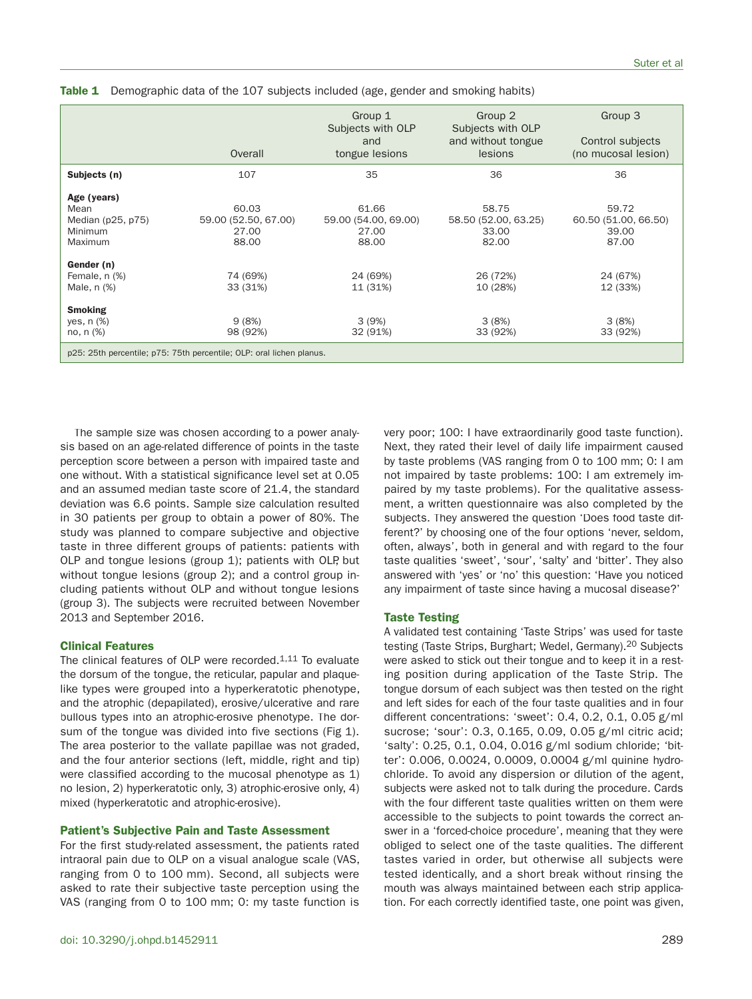|                                                                                           | Overall                                         | Group 1<br>Subjects with OLP<br>and<br>tongue lesions | Group 2<br>Subjects with OLP<br>and without tongue<br><b>lesions</b> | Group 3<br>Control subjects<br>(no mucosal lesion) |  |  |  |  |  |  |  |
|-------------------------------------------------------------------------------------------|-------------------------------------------------|-------------------------------------------------------|----------------------------------------------------------------------|----------------------------------------------------|--|--|--|--|--|--|--|
| Subjects (n)                                                                              | 107                                             | 35                                                    | 36                                                                   | 36                                                 |  |  |  |  |  |  |  |
| Age (years)<br>Mean<br>Median (p25, p75)<br>Minimum<br><b>Maximum</b>                     | 60.03<br>59.00 (52.50, 67.00)<br>27.00<br>88.00 | 61.66<br>59.00 (54.00, 69.00)<br>27.00<br>88.00       | 58.75<br>58.50 (52.00, 63.25)<br>33.00<br>82.00                      | 59.72<br>60.50 (51.00, 66.50)<br>39.00<br>87.00    |  |  |  |  |  |  |  |
| Gender (n)<br>Female, n (%)<br>Male, n (%)<br><b>Smoking</b><br>yes, $n$ $%$<br>no, n (%) | 74 (69%)<br>33 (31%)<br>9(8%)<br>98 (92%)       | 24 (69%)<br>11 (31%)<br>3(9%)<br>32 (91%)             | 26 (72%)<br>10 (28%)<br>3(8%)<br>33 (92%)                            | 24 (67%)<br>12 (33%)<br>3(8%)<br>33 (92%)          |  |  |  |  |  |  |  |
| p25: 25th percentile; p75: 75th percentile; OLP: oral lichen planus.                      |                                                 |                                                       |                                                                      |                                                    |  |  |  |  |  |  |  |

**Table 1** Demographic data of the 107 subjects included (age, gender and smoking habits)

The sample size was chosen according to a power analysis based on an age-related difference of points in the taste perception score between a person with impaired taste and one without. With a statistical significance level set at 0.05 and an assumed median taste score of 21.4, the standard deviation was 6.6 points. Sample size calculation resulted in 30 patients per group to obtain a power of 80%. The study was planned to compare subjective and objective taste in three different groups of patients: patients with OLP and tongue lesions (group 1); patients with OLP, but without tongue lesions (group 2); and a control group including patients without OLP and without tongue lesions (group 3). The subjects were recruited between November 2013 and September 2016.

## **Clinical Features**

The clinical features of OLP were recorded. $1,11$  To evaluate the dorsum of the tongue, the reticular, papular and plaquelike types were grouped into a hyperkeratotic phenotype, and the atrophic (depapilated), erosive/ulcerative and rare bullous types into an atrophic-erosive phenotype. The dorsum of the tongue was divided into five sections (Fig 1). The area posterior to the vallate papillae was not graded, and the four anterior sections (left, middle, right and tip) were classified according to the mucosal phenotype as 1) no lesion, 2) hyperkeratotic only, 3) atrophic-erosive only, 4) mixed (hyperkeratotic and atrophic-erosive).

#### **Patient's Subjective Pain and Taste Assessment**

For the first study-related assessment, the patients rated intraoral pain due to OLP on a visual analogue scale (VAS, ranging from 0 to 100 mm). Second, all subjects were asked to rate their subjective taste perception using the VAS (ranging from 0 to 100 mm; 0: my taste function is very poor; 100: I have extraordinarily good taste function). Next, they rated their level of daily life impairment caused by taste problems (VAS ranging from 0 to 100 mm; 0: I am not impaired by taste problems: 100: I am extremely impaired by my taste problems). For the qualitative assessment, a written questionnaire was also completed by the subjects. They answered the question 'Does food taste different?' by choosing one of the four options 'never, seldom, often, always', both in general and with regard to the four taste qualities 'sweet', 'sour', 'salty' and 'bitter'. They also answered with 'yes' or 'no' this question: 'Have you noticed any impairment of taste since having a mucosal disease?'

## **Taste Testing**

A validated test containing 'Taste Strips' was used for taste testing (Taste Strips, Burghart; Wedel, Germany).<sup>20</sup> Subjects were asked to stick out their tongue and to keep it in a resting position during application of the Taste Strip. The tongue dorsum of each subject was then tested on the right and left sides for each of the four taste qualities and in four different concentrations: 'sweet': 0.4, 0.2, 0.1, 0.05 g/ml sucrose; 'sour': 0.3, 0.165, 0.09, 0.05 g/ml citric acid; 'salty': 0.25, 0.1, 0.04, 0.016 g/ml sodium chloride; 'bitter': 0.006, 0.0024, 0.0009, 0.0004 g/ml quinine hydrochloride. To avoid any dispersion or dilution of the agent, subjects were asked not to talk during the procedure. Cards with the four different taste qualities written on them were accessible to the subjects to point towards the correct answer in a 'forced-choice procedure', meaning that they were obliged to select one of the taste qualities. The different tastes varied in order, but otherwise all subjects were tested identically, and a short break without rinsing the mouth was always maintained between each strip application. For each correctly identified taste, one point was given,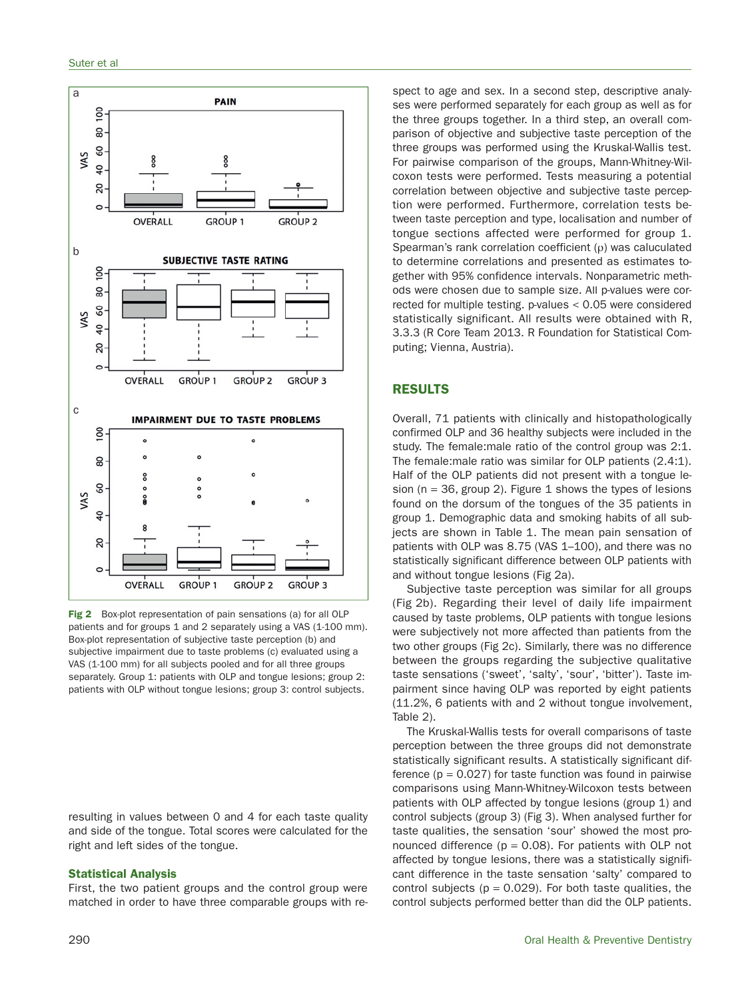

**Fig 2** Box-plot representation of pain sensations (a) for all OLP patients and for groups 1 and 2 separately using a VAS (1-100 mm). Box-plot representation of subjective taste perception (b) and subjective impairment due to taste problems (c) evaluated using a VAS (1-100 mm) for all subjects pooled and for all three groups separately. Group 1: patients with OLP and tongue lesions; group 2: patients with OLP without tongue lesions; group 3: control subjects.

resulting in values between 0 and 4 for each taste quality and side of the tongue. Total scores were calculated for the right and left sides of the tongue.

#### **Statistical Analysis**

First, the two patient groups and the control group were matched in order to have three comparable groups with respect to age and sex. In a second step, descriptive analyses were performed separately for each group as well as for the three groups together. In a third step, an overall comparison of objective and subjective taste perception of the three groups was performed using the Kruskal-Wallis test. For pairwise comparison of the groups, Mann-Whitney-Wilcoxon tests were performed. Tests measuring a potential correlation between objective and subjective taste perception were performed. Furthermore, correlation tests between taste perception and type, localisation and number of tongue sections affected were performed for group 1. Spearman's rank correlation coefficient  $(\rho)$  was caluculated to determine correlations and presented as estimates together with 95% confidence intervals. Nonparametric methods were chosen due to sample size. All p-values were corrected for multiple testing. p-values < 0.05 were considered statistically significant. All results were obtained with R, 3.3.3 (R Core Team 2013. R Foundation for Statistical Computing; Vienna, Austria).

## **RESULTS**

Overall, 71 patients with clinically and histopathologically confirmed OLP and 36 healthy subjects were included in the study. The female:male ratio of the control group was 2:1. The female:male ratio was similar for OLP patients (2.4:1). Half of the OLP patients did not present with a tongue lesion ( $n = 36$ , group 2). Figure 1 shows the types of lesions found on the dorsum of the tongues of the 35 patients in group 1. Demographic data and smoking habits of all subjects are shown in Table 1. The mean pain sensation of patients with OLP was 8.75 (VAS 1–100), and there was no statistically significant difference between OLP patients with and without tongue lesions (Fig 2a).

Subjective taste perception was similar for all groups (Fig 2b). Regarding their level of daily life impairment caused by taste problems, OLP patients with tongue lesions were subjectively not more affected than patients from the two other groups (Fig 2c). Similarly, there was no difference between the groups regarding the subjective qualitative taste sensations ('sweet', 'salty', 'sour', 'bitter'). Taste impairment since having OLP was reported by eight patients (11.2%, 6 patients with and 2 without tongue involvement, Table 2).

The Kruskal-Wallis tests for overall comparisons of taste perception between the three groups did not demonstrate statistically significant results. A statistically significant difference  $(p = 0.027)$  for taste function was found in pairwise comparisons using Mann-Whitney-Wilcoxon tests between patients with OLP affected by tongue lesions (group 1) and control subjects (group 3) (Fig 3). When analysed further for taste qualities, the sensation 'sour' showed the most pronounced difference ( $p = 0.08$ ). For patients with OLP not affected by tongue lesions, there was a statistically significant difference in the taste sensation 'salty' compared to control subjects ( $p = 0.029$ ). For both taste qualities, the control subjects performed better than did the OLP patients.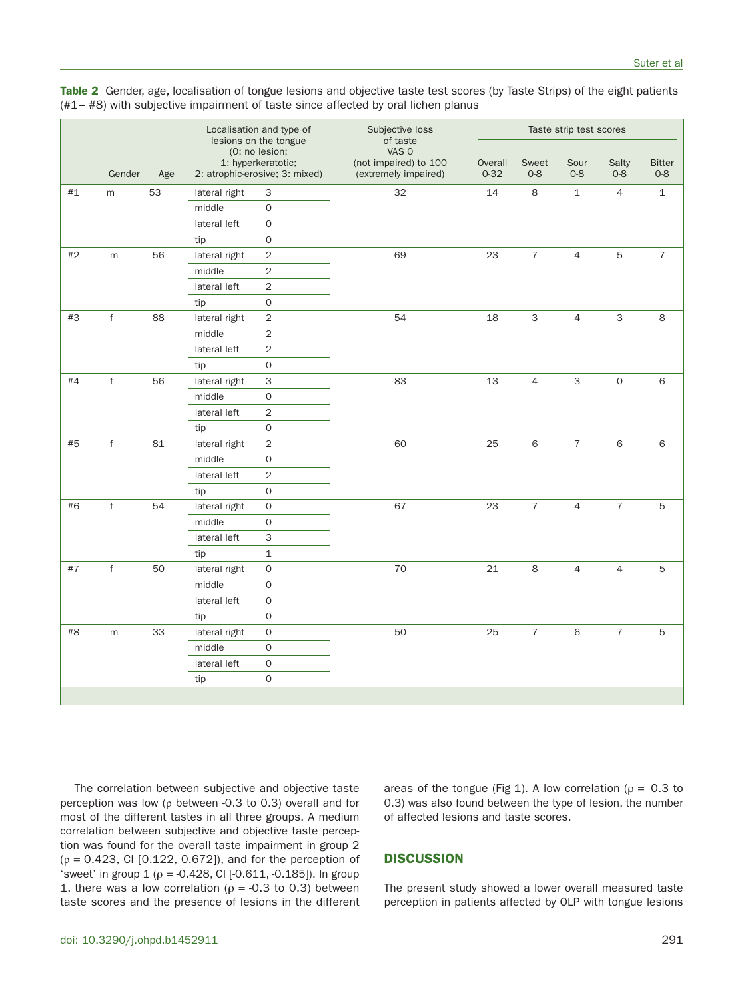| Gender<br>Age        |    | Localisation and type of<br>lesions on the tongue<br>(0: no lesion;<br>1: hyperkeratotic;<br>2: atrophic-erosive; 3: mixed) |                     | Subjective loss<br>of taste<br>VAS 0<br>(not impaired) to 100<br>(extremely impaired) | Taste strip test scores |                  |                 |                  |                          |                  |
|----------------------|----|-----------------------------------------------------------------------------------------------------------------------------|---------------------|---------------------------------------------------------------------------------------|-------------------------|------------------|-----------------|------------------|--------------------------|------------------|
|                      |    |                                                                                                                             |                     |                                                                                       | Overall<br>$0 - 32$     | Sweet<br>$0 - 8$ | Sour<br>$0 - 8$ | Salty<br>$0 - 8$ | <b>Bitter</b><br>$0 - 8$ |                  |
| $\# \mathbb{1}$<br>m | 53 | lateral right                                                                                                               | 3                   | 32                                                                                    | 14                      | 8                | $\mathbf{1}$    | $\overline{4}$   | $\mathbf 1$              |                  |
|                      |    | middle                                                                                                                      | $\mathbf 0$         |                                                                                       |                         |                  |                 |                  |                          |                  |
|                      |    |                                                                                                                             | lateral left        | $\mathbf 0$                                                                           |                         |                  |                 |                  |                          |                  |
|                      |    |                                                                                                                             | tip                 | $\mathbf 0$                                                                           |                         |                  |                 |                  |                          |                  |
| #2                   | m  | 56                                                                                                                          | lateral right       | 2                                                                                     | 69                      | 23               | $\sqrt{7}$      | $\overline{4}$   | 5                        | $\boldsymbol{7}$ |
|                      |    | middle                                                                                                                      | 2                   |                                                                                       |                         |                  |                 |                  |                          |                  |
|                      |    | lateral left                                                                                                                | 2                   |                                                                                       |                         |                  |                 |                  |                          |                  |
|                      |    | tip                                                                                                                         | 0                   |                                                                                       |                         |                  |                 |                  |                          |                  |
| #3<br>$\mathsf f$    | 88 | lateral right                                                                                                               | 2                   | 54                                                                                    | 18                      | 3                | 4               | $\mathsf 3$      | 8                        |                  |
|                      |    | middle                                                                                                                      | 2                   |                                                                                       |                         |                  |                 |                  |                          |                  |
|                      |    |                                                                                                                             | lateral left        | $\overline{c}$                                                                        |                         |                  |                 |                  |                          |                  |
|                      |    | tip                                                                                                                         | $\mathsf{O}\xspace$ |                                                                                       |                         |                  |                 |                  |                          |                  |
| $\sf f$<br>#4        | 56 | lateral right                                                                                                               | 3                   | 83                                                                                    | 13                      | $\overline{4}$   | 3               | $\mathsf O$      | 6                        |                  |
|                      |    | middle                                                                                                                      | 0                   |                                                                                       |                         |                  |                 |                  |                          |                  |
|                      |    |                                                                                                                             | lateral left        | $\overline{2}$                                                                        |                         |                  |                 |                  |                          |                  |
|                      |    |                                                                                                                             | tip                 | $\mathbf 0$                                                                           |                         |                  |                 |                  |                          |                  |
| f<br>#5              | 81 | lateral right                                                                                                               | 2                   | 60                                                                                    | 25                      | $\,$ 6 $\,$      | $\overline{7}$  | 6                | 6                        |                  |
|                      |    |                                                                                                                             | middle              | 0                                                                                     |                         |                  |                 |                  |                          |                  |
|                      |    |                                                                                                                             | lateral left        | $\overline{2}$                                                                        |                         |                  |                 |                  |                          |                  |
|                      |    |                                                                                                                             | tip                 | $\mathbf 0$                                                                           |                         |                  |                 |                  |                          |                  |
| f<br>#6              | 54 | lateral right                                                                                                               | $\mathsf{O}$        | 67                                                                                    | 23                      | $\overline{7}$   | $\overline{4}$  | $\overline{7}$   | 5                        |                  |
|                      |    | middle                                                                                                                      | 0                   |                                                                                       |                         |                  |                 |                  |                          |                  |
|                      |    |                                                                                                                             | lateral left        | 3                                                                                     |                         |                  |                 |                  |                          |                  |
|                      |    |                                                                                                                             | tip                 | $\mathbf{1}$                                                                          |                         |                  |                 |                  |                          |                  |
| $\mathsf f$<br>#7    | 50 | lateral right                                                                                                               | $\mathsf{O}$        | 70                                                                                    | 21                      | 8                | $\overline{4}$  | $\overline{4}$   | 5                        |                  |
|                      |    |                                                                                                                             | middle              | 0                                                                                     |                         |                  |                 |                  |                          |                  |
|                      |    |                                                                                                                             | lateral left        | $\mathsf{O}\xspace$                                                                   |                         |                  |                 |                  |                          |                  |
|                      |    |                                                                                                                             | tip                 | $\mathbf 0$                                                                           |                         |                  |                 |                  |                          |                  |
| $\#8$                | m  | 33                                                                                                                          | lateral right       | $\mathbf 0$                                                                           | 50                      | 25               | $\sqrt{ }$      | 6                | $\overline{7}$           | 5                |
|                      |    |                                                                                                                             | middle              | 0                                                                                     |                         |                  |                 |                  |                          |                  |
|                      |    |                                                                                                                             | lateral left        | $\mathsf{O}\xspace$                                                                   |                         |                  |                 |                  |                          |                  |
|                      |    |                                                                                                                             | tip                 | $\mathsf{O}\xspace$                                                                   |                         |                  |                 |                  |                          |                  |
|                      |    |                                                                                                                             |                     |                                                                                       |                         |                  |                 |                  |                          |                  |

**Table 2** Gender, age, localisation of tongue lesions and objective taste test scores (by Taste Strips) of the eight patients (#1– #8) with subjective impairment of taste since affected by oral lichen planus

The correlation between subjective and objective taste perception was low (ρ between -0.3 to 0.3) overall and for most of the different tastes in all three groups. A medium correlation between subjective and objective taste perception was found for the overall taste impairment in group 2 (ρ = 0.423, CI [0.122, 0.672]), and for the perception of 'sweet' in group  $1$  ( $\rho$  = -0.428, CI [-0.611, -0.185]). In group 1, there was a low correlation ( $\rho = -0.3$  to 0.3) between taste scores and the presence of lesions in the different areas of the tongue (Fig 1). A low correlation ( $\rho = -0.3$  to 0.3) was also found between the type of lesion, the number of affected lesions and taste scores.

## **DISCUSSION**

The present study showed a lower overall measured taste perception in patients affected by OLP with tongue lesions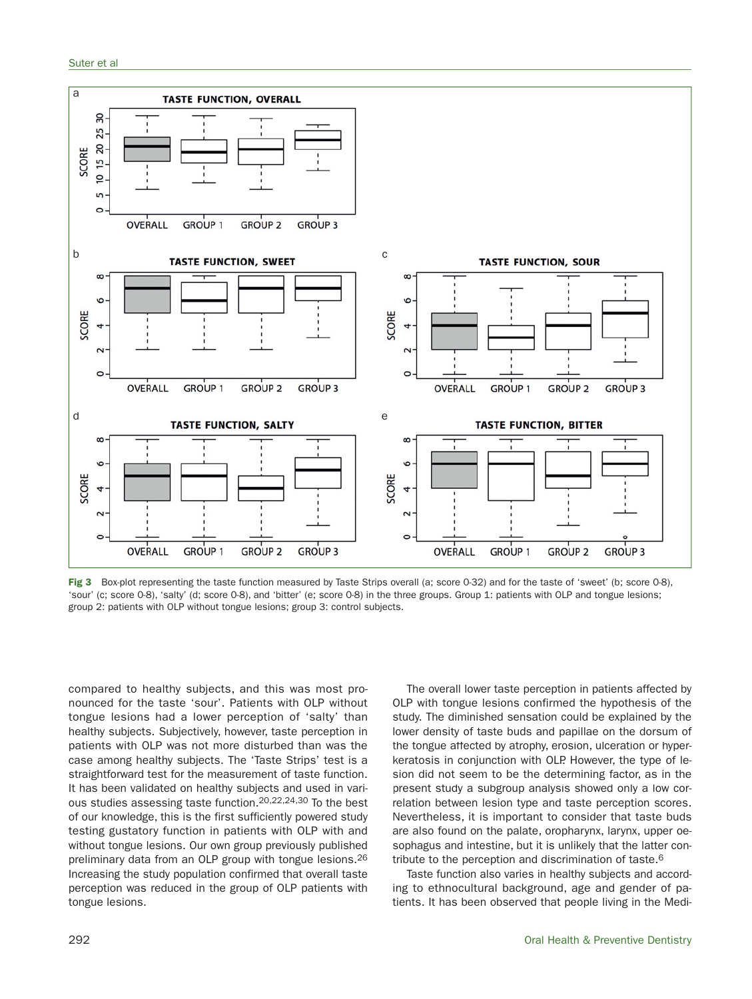

**Fig 3** Box-plot representing the taste function measured by Taste Strips overall (a; score 0-32) and for the taste of 'sweet' (b; score 0-8), 'sour' (c; score 0-8), 'salty' (d; score 0-8), and 'bitter' (e; score 0-8) in the three groups. Group 1: patients with OLP and tongue lesions; group 2: patients with OLP without tongue lesions; group 3: control subjects.

compared to healthy subjects, and this was most pronounced for the taste 'sour'. Patients with OLP without tongue lesions had a lower perception of 'salty' than healthy subjects. Subjectively, however, taste perception in patients with OLP was not more disturbed than was the case among healthy subjects. The 'Taste Strips' test is a straightforward test for the measurement of taste function. It has been validated on healthy subjects and used in various studies assessing taste function.20,22,24,30 To the best of our knowledge, this is the first sufficiently powered study testing gustatory function in patients with OLP with and without tongue lesions. Our own group previously published preliminary data from an OLP group with tongue lesions.26 Increasing the study population confirmed that overall taste perception was reduced in the group of OLP patients with tongue lesions.

The overall lower taste perception in patients affected by OLP with tongue lesions confirmed the hypothesis of the study. The diminished sensation could be explained by the lower density of taste buds and papillae on the dorsum of the tongue affected by atrophy, erosion, ulceration or hyperkeratosis in conjunction with OLP. However, the type of lesion did not seem to be the determining factor, as in the present study a subgroup analysis showed only a low correlation between lesion type and taste perception scores. Nevertheless, it is important to consider that taste buds are also found on the palate, oropharynx, larynx, upper oesophagus and intestine, but it is unlikely that the latter contribute to the perception and discrimination of taste.6

Taste function also varies in healthy subjects and according to ethnocultural background, age and gender of patients. It has been observed that people living in the Medi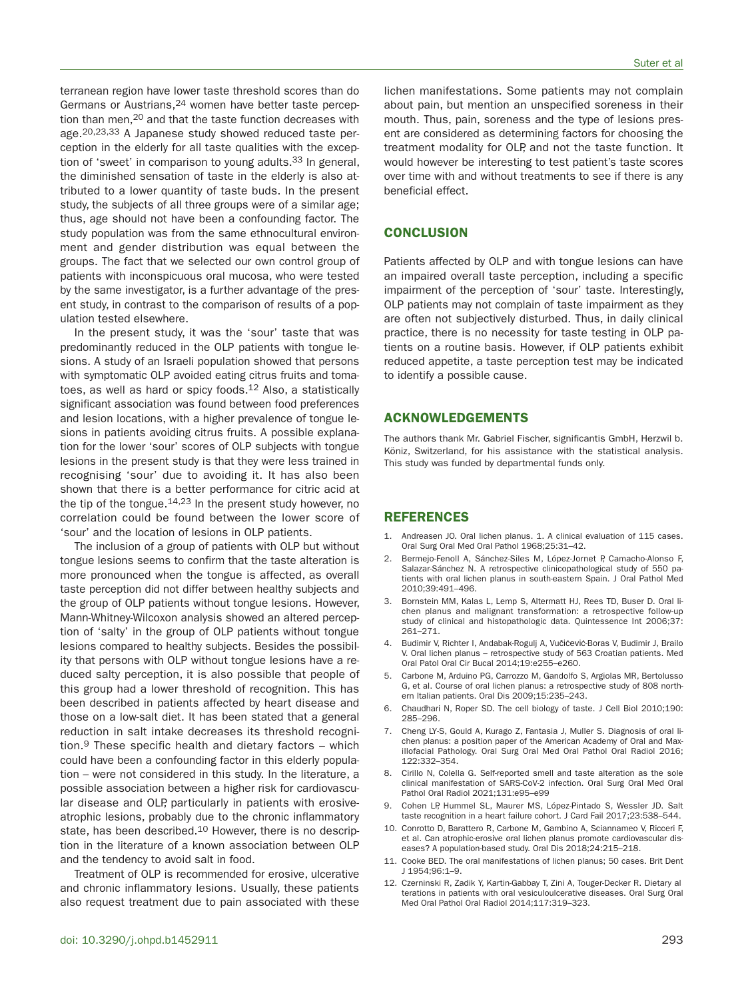terranean region have lower taste threshold scores than do Germans or Austrians,24 women have better taste perception than men,<sup>20</sup> and that the taste function decreases with age.20,23,33 A Japanese study showed reduced taste perception in the elderly for all taste qualities with the exception of 'sweet' in comparison to young adults.<sup>33</sup> In general, the diminished sensation of taste in the elderly is also attributed to a lower quantity of taste buds. In the present study, the subjects of all three groups were of a similar age; thus, age should not have been a confounding factor. The study population was from the same ethnocultural environment and gender distribution was equal between the groups. The fact that we selected our own control group of patients with inconspicuous oral mucosa, who were tested by the same investigator, is a further advantage of the present study, in contrast to the comparison of results of a population tested elsewhere.

In the present study, it was the 'sour' taste that was predominantly reduced in the OLP patients with tongue lesions. A study of an Israeli population showed that persons with symptomatic OLP avoided eating citrus fruits and tomatoes, as well as hard or spicy foods.12 Also, a statistically significant association was found between food preferences and lesion locations, with a higher prevalence of tongue lesions in patients avoiding citrus fruits. A possible explanation for the lower 'sour' scores of OLP subjects with tongue lesions in the present study is that they were less trained in recognising 'sour' due to avoiding it. It has also been shown that there is a better performance for citric acid at the tip of the tongue. $14,23$  In the present study however, no correlation could be found between the lower score of 'sour' and the location of lesions in OLP patients.

The inclusion of a group of patients with OLP but without tongue lesions seems to confirm that the taste alteration is more pronounced when the tongue is affected, as overall taste perception did not differ between healthy subjects and the group of OLP patients without tongue lesions. However, Mann-Whitney-Wilcoxon analysis showed an altered perception of 'salty' in the group of OLP patients without tongue lesions compared to healthy subjects. Besides the possibility that persons with OLP without tongue lesions have a reduced salty perception, it is also possible that people of this group had a lower threshold of recognition. This has been described in patients affected by heart disease and those on a low-salt diet. It has been stated that a general reduction in salt intake decreases its threshold recognition.9 These specific health and dietary factors – which could have been a confounding factor in this elderly population – were not considered in this study. In the literature, a possible association between a higher risk for cardiovascular disease and OLP, particularly in patients with erosiveatrophic lesions, probably due to the chronic inflammatory state, has been described.<sup>10</sup> However, there is no description in the literature of a known association between OLP and the tendency to avoid salt in food.

Treatment of OLP is recommended for erosive, ulcerative and chronic inflammatory lesions. Usually, these patients also request treatment due to pain associated with these lichen manifestations. Some patients may not complain about pain, but mention an unspecified soreness in their mouth. Thus, pain, soreness and the type of lesions present are considered as determining factors for choosing the treatment modality for OLP, and not the taste function. It would however be interesting to test patient's taste scores over time with and without treatments to see if there is any beneficial effect.

## **CONCLUSION**

Patients affected by OLP and with tongue lesions can have an impaired overall taste perception, including a specific impairment of the perception of 'sour' taste. Interestingly, OLP patients may not complain of taste impairment as they are often not subjectively disturbed. Thus, in daily clinical practice, there is no necessity for taste testing in OLP patients on a routine basis. However, if OLP patients exhibit reduced appetite, a taste perception test may be indicated to identify a possible cause.

## **ACKNOWLEDGEMENTS**

The authors thank Mr. Gabriel Fischer, significantis GmbH, Herzwil b. Köniz, Switzerland, for his assistance with the statistical analysis. This study was funded by departmental funds only.

## **REFERENCES**

- Andreasen JO. Oral lichen planus. 1. A clinical evaluation of 115 cases. Oral Surg Oral Med Oral Pathol 1968;25:31–42.
- 2. Bermejo-Fenoll A, Sánchez-Siles M, López-Jornet P, Camacho-Alonso F, Salazar-Sánchez N. A retrospective clinicopathological study of 550 patients with oral lichen planus in south-eastern Spain. J Oral Pathol Med 2010;39:491–496.
- 3. Bornstein MM, Kalas L, Lemp S, Altermatt HJ, Rees TD, Buser D. Oral lichen planus and malignant transformation: a retrospective follow-up study of clinical and histopathologic data. Quintessence Int 2006;37: 261–271.
- 4. Budimir V, Richter I, Andabak-Rogulj A, Vučićević-Boras V, Budimir J, Brailo V. Oral lichen planus – retrospective study of 563 Croatian patients. Med Oral Patol Oral Cir Bucal 2014;19:e255–e260.
- 5. Carbone M, Arduino PG, Carrozzo M, Gandolfo S, Argiolas MR, Bertolusso G, et al. Course of oral lichen planus: a retrospective study of 808 northern Italian patients. Oral Dis 2009;15:235–243.
- 6. Chaudhari N, Roper SD. The cell biology of taste. J Cell Biol 2010;190: 285–296.
- 7. Cheng LY-S, Gould A, Kurago Z, Fantasia J, Muller S. Diagnosis of oral lichen planus: a position paper of the American Academy of Oral and Maxillofacial Pathology. Oral Surg Oral Med Oral Pathol Oral Radiol 2016; 122:332–354.
- 8. Cirillo N, Colella G. Self-reported smell and taste alteration as the sole clinical manifestation of SARS-CoV-2 infection. Oral Surg Oral Med Oral Pathol Oral Radiol 2021;131:e95–e99
- 9. Cohen LP, Hummel SL, Maurer MS, López-Pintado S, Wessler JD. Salt taste recognition in a heart failure cohort. J Card Fail 2017;23:538–544.
- 10. Conrotto D, Barattero R, Carbone M, Gambino A, Sciannameo V, Ricceri F, et al. Can atrophic-erosive oral lichen planus promote cardiovascular diseases? A population-based study. Oral Dis 2018;24:215–218.
- 11. Cooke BED. The oral manifestations of lichen planus; 50 cases. Brit Dent J 1954;96:1–9.
- 12. Czerninski R, Zadik Y, Kartin-Gabbay T, Zini A, Touger-Decker R. Dietary alterations in patients with oral vesiculoulcerative diseases. Oral Surg Oral Med Oral Pathol Oral Radiol 2014;117:319–323.